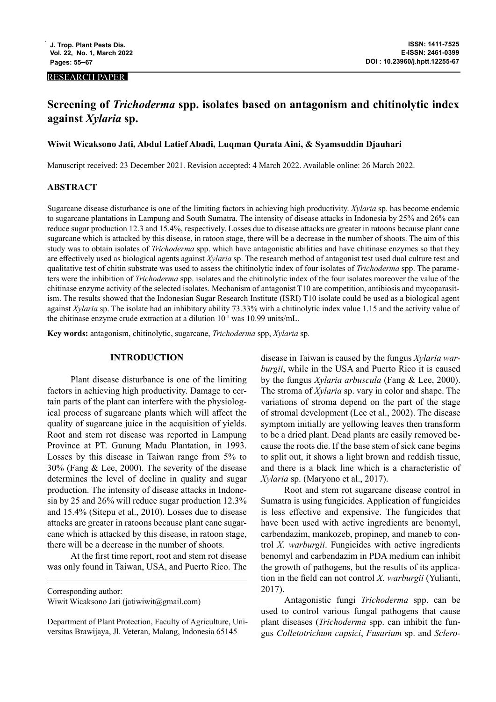## RESEARCH PAPER

# **Screening of** *Trichoderma* **spp. isolates based on antagonism and chitinolytic index against** *Xylaria* **sp.**

### **Wiwit Wicaksono Jati, Abdul Latief Abadi, Luqman Qurata Aini, & Syamsuddin Djauhari**

Manuscript received: 23 December 2021. Revision accepted: 4 March 2022. Available online: 26 March 2022.

# **ABSTRACT**

Sugarcane disease disturbance is one of the limiting factors in achieving high productivity. *Xylaria* sp. has become endemic to sugarcane plantations in Lampung and South Sumatra. The intensity of disease attacks in Indonesia by 25% and 26% can reduce sugar production 12.3 and 15.4%, respectively. Losses due to disease attacks are greater in ratoons because plant cane sugarcane which is attacked by this disease, in ratoon stage, there will be a decrease in the number of shoots. The aim of this study was to obtain isolates of *Trichoderma* spp. which have antagonistic abilities and have chitinase enzymes so that they are effectively used as biological agents against *Xylaria* sp. The research method of antagonist test used dual culture test and qualitative test of chitin substrate was used to assess the chitinolytic index of four isolates of *Trichoderma* spp. The parameters were the inhibition of *Trichoderma* spp. isolates and the chitinolytic index of the four isolates moreover the value of the chitinase enzyme activity of the selected isolates. Mechanism of antagonist T10 are competition, antibiosis and mycoparasitism. The results showed that the Indonesian Sugar Research Institute (ISRI) T10 isolate could be used as a biological agent against *Xylaria* sp. The isolate had an inhibitory ability 73.33% with a chitinolytic index value 1.15 and the activity value of the chitinase enzyme crude extraction at a dilution  $10^{-1}$  was 10.99 units/mL.

**Key words:** antagonism, chitinolytic, sugarcane, *Trichoderma* spp, *Xylaria* sp.

### **INTRODUCTION**

Plant disease disturbance is one of the limiting factors in achieving high productivity. Damage to certain parts of the plant can interfere with the physiological process of sugarcane plants which will affect the quality of sugarcane juice in the acquisition of yields. Root and stem rot disease was reported in Lampung Province at PT. Gunung Madu Plantation, in 1993. Losses by this disease in Taiwan range from 5% to 30% (Fang & Lee, 2000). The severity of the disease determines the level of decline in quality and sugar production. The intensity of disease attacks in Indonesia by 25 and 26% will reduce sugar production 12.3% and 15.4% (Sitepu et al., 2010). Losses due to disease attacks are greater in ratoons because plant cane sugarcane which is attacked by this disease, in ratoon stage, there will be a decrease in the number of shoots.

At the first time report, root and stem rot disease was only found in Taiwan, USA, and Puerto Rico. The

disease in Taiwan is caused by the fungus *Xylaria warburgii*, while in the USA and Puerto Rico it is caused by the fungus *Xylaria arbuscula* (Fang & Lee, 2000). The stroma of *Xylaria* sp. vary in color and shape. The variations of stroma depend on the part of the stage of stromal development (Lee et al., 2002). The disease symptom initially are yellowing leaves then transform to be a dried plant. Dead plants are easily removed because the roots die. If the base stem of sick cane begins to split out, it shows a light brown and reddish tissue, and there is a black line which is a characteristic of *Xylaria* sp. (Maryono et al., 2017).

Root and stem rot sugarcane disease control in Sumatra is using fungicides. Application of fungicides is less effective and expensive. The fungicides that have been used with active ingredients are benomyl, carbendazim, mankozeb, propinep, and maneb to control *X. warburgii*. Fungicides with active ingredients benomyl and carbendazim in PDA medium can inhibit the growth of pathogens, but the results of its application in the field can not control *X. warburgii* (Yulianti, 2017).

Antagonistic fungi *Trichoderma* spp. can be used to control various fungal pathogens that cause plant diseases (*Trichoderma* spp. can inhibit the fungus *Colletotrichum capsici*, *Fusarium* sp. and *Sclero-*

Corresponding author:

Wiwit Wicaksono Jati (jatiwiwit@gmail.com)

Department of Plant Protection, Faculty of Agriculture, Universitas Brawijaya, Jl. Veteran, Malang, Indonesia 65145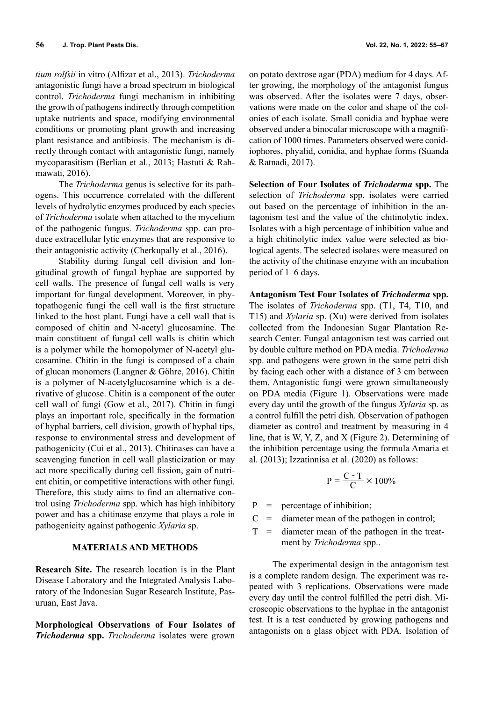*tium rolfsii* in vitro (Alfizar et al., 2013). *Trichoderma* antagonistic fungi have a broad spectrum in biological control. *Trichoderma* fungi mechanism in inhibiting the growth of pathogens indirectly through competition uptake nutrients and space, modifying environmental conditions or promoting plant growth and increasing plant resistance and antibiosis. The mechanism is directly through contact with antagonistic fungi, namely mycoparasitism (Berlian et al., 2013; Hastuti & Rahmawati, 2016).

The *Trichoderma* genus is selective for its pathogens. This occurrence correlated with the different levels of hydrolytic enzymes produced by each species of *Trichoderma* isolate when attached to the mycelium of the pathogenic fungus. *Trichoderma* spp. can produce extracellular lytic enzymes that are responsive to their antagonistic activity (Cherkupally et al., 2016).

Stability during fungal cell division and longitudinal growth of fungal hyphae are supported by cell walls. The presence of fungal cell walls is very important for fungal development. Moreover, in phytopathogenic fungi the cell wall is the first structure linked to the host plant. Fungi have a cell wall that is composed of chitin and N-acetyl glucosamine. The main constituent of fungal cell walls is chitin which is a polymer while the homopolymer of N-acetyl glucosamine. Chitin in the fungi is composed of a chain of glucan monomers (Langner & Göhre, 2016). Chitin is a polymer of N-acetylglucosamine which is a derivative of glucose. Chitin is a component of the outer cell wall of fungi (Gow et al., 2017). Chitin in fungi plays an important role, specifically in the formation of hyphal barriers, cell division, growth of hyphal tips, response to environmental stress and development of pathogenicity (Cui et al., 2013). Chitinases can have a scavenging function in cell wall plasticization or may act more specifically during cell fission, gain of nutrient chitin, or competitive interactions with other fungi. Therefore, this study aims to find an alternative control using *Trichoderma* spp. which has high inhibitory power and has a chitinase enzyme that plays a role in pathogenicity against pathogenic *Xylaria* sp.

### **MATERIALS AND METHODS**

**Research Site.** The research location is in the Plant Disease Laboratory and the Integrated Analysis Laboratory of the Indonesian Sugar Research Institute, Pasuruan, East Java.

**Morphological Observations of Four Isolates of**  *Trichoderma* **spp.** *Trichoderma* isolates were grown

on potato dextrose agar (PDA) medium for 4 days. After growing, the morphology of the antagonist fungus was observed. After the isolates were 7 days, observations were made on the color and shape of the colonies of each isolate. Small conidia and hyphae were observed under a binocular microscope with a magnification of 1000 times. Parameters observed were conidiophores, phyalid, conidia, and hyphae forms (Suanda & Ratnadi, 2017).

**Selection of Four Isolates of** *Trichoderma* **spp.** The selection of *Trichoderma* spp. isolates were carried out based on the percentage of inhibition in the antagonism test and the value of the chitinolytic index. Isolates with a high percentage of inhibition value and a high chitinolytic index value were selected as biological agents. The selected isolates were measured on the activity of the chitinase enzyme with an incubation period of 1–6 days.

**Antagonism Test Four Isolates of** *Trichoderma* **spp.**  The isolates of *Trichoderma* spp. (T1, T4, T10, and T15) and *Xylaria* sp. (Xu) were derived from isolates collected from the Indonesian Sugar Plantation Research Center. Fungal antagonism test was carried out by double culture method on PDA media. *Trichoderma* spp. and pathogens were grown in the same petri dish by facing each other with a distance of 3 cm between them. Antagonistic fungi were grown simultaneously on PDA media (Figure 1). Observations were made every day until the growth of the fungus *Xylaria* sp. as a control fulfill the petri dish. Observation of pathogen diameter as control and treatment by measuring in 4 line, that is W, Y, Z, and X (Figure 2). Determining of the inhibition percentage using the formula Amaria et al. (2013); Izzatinnisa et al. (2020) as follows:

$$
P = \frac{C \cdot T}{C} \times 100\%
$$

 $P =$  percentage of inhibition;

- $C =$  diameter mean of the pathogen in control;
- $T =$  diameter mean of the pathogen in the treatment by *Trichoderma* spp..

The experimental design in the antagonism test is a complete random design. The experiment was repeated with 3 replications. Observations were made every day until the control fulfilled the petri dish. Microscopic observations to the hyphae in the antagonist test. It is a test conducted by growing pathogens and antagonists on a glass object with PDA. Isolation of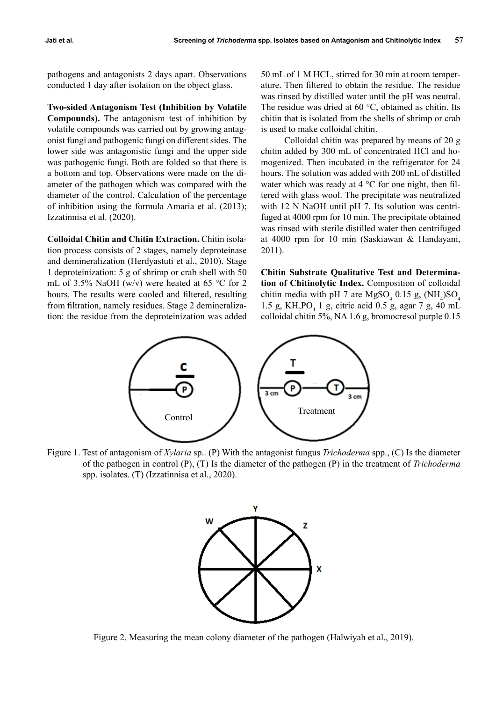pathogens and antagonists 2 days apart. Observations conducted 1 day after isolation on the object glass.

**Two-sided Antagonism Test (Inhibition by Volatile Compounds).** The antagonism test of inhibition by volatile compounds was carried out by growing antagonist fungi and pathogenic fungi on different sides. The lower side was antagonistic fungi and the upper side was pathogenic fungi. Both are folded so that there is a bottom and top. Observations were made on the diameter of the pathogen which was compared with the diameter of the control. Calculation of the percentage of inhibition using the formula Amaria et al. (2013); Izzatinnisa et al. (2020).

**Colloidal Chitin and Chitin Extraction.** Chitin isolation process consists of 2 stages, namely deproteinase and demineralization (Herdyastuti et al., 2010). Stage 1 deproteinization: 5 g of shrimp or crab shell with 50 mL of 3.5% NaOH (w/v) were heated at 65  $\degree$ C for 2 hours. The results were cooled and filtered, resulting from filtration, namely residues. Stage 2 demineralization: the residue from the deproteinization was added

50 mL of 1 M HCL, stirred for 30 min at room temperature. Then filtered to obtain the residue. The residue was rinsed by distilled water until the pH was neutral. The residue was dried at 60 °C, obtained as chitin. Its chitin that is isolated from the shells of shrimp or crab is used to make colloidal chitin.

Colloidal chitin was prepared by means of 20 g chitin added by 300 mL of concentrated HCl and homogenized. Then incubated in the refrigerator for 24 hours. The solution was added with 200 mL of distilled water which was ready at  $4^{\circ}$ C for one night, then filtered with glass wool. The precipitate was neutralized with 12 N NaOH until pH 7. Its solution was centrifuged at 4000 rpm for 10 min. The precipitate obtained was rinsed with sterile distilled water then centrifuged at 4000 rpm for 10 min (Saskiawan & Handayani, 2011).

**Chitin Substrate Qualitative Test and Determination of Chitinolytic Index.** Composition of colloidal chitin media with pH 7 are  $MgSO_4$  0.15 g,  $(NH_4)SO_4$ 1.5 g,  $KH_2PO_4$  1 g, citric acid 0.5 g, agar 7 g, 40 mL colloidal chitin 5%, NA 1.6 g, bromocresol purple 0.15



Figure 1. Test of antagonism of *Xylaria* sp.. (P) With the antagonist fungus *Trichoderma* spp., (C) Is the diameter of the pathogen in control (P), (T) Is the diameter of the pathogen (P) in the treatment of *Trichoderma* spp. isolates. (T) (Izzatinnisa et al., 2020).



Figure 2. Measuring the mean colony diameter of the pathogen (Halwiyah et al., 2019).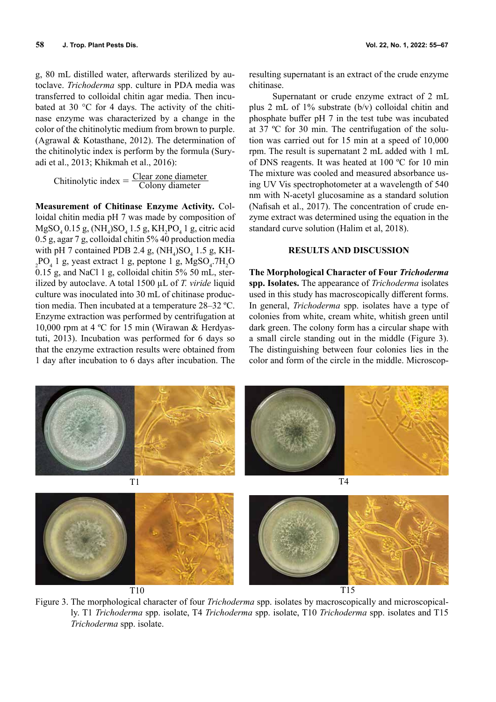g, 80 mL distilled water, afterwards sterilized by autoclave. *Trichoderma* spp. culture in PDA media was transferred to colloidal chitin agar media. Then incubated at 30 °C for 4 days. The activity of the chitinase enzyme was characterized by a change in the color of the chitinolytic medium from brown to purple. (Agrawal & Kotasthane, 2012). The determination of the chitinolytic index is perform by the formula (Suryadi et al., 2013; Khikmah et al., 2016):

Chitinolytic index  $=$   $\frac{\text{Clear zone diameter}}{\text{Colony diameter}}$ 

**Measurement of Chitinase Enzyme Activity.** Colloidal chitin media pH 7 was made by composition of  $MgSO_4$  0.15 g, (NH<sub>4</sub>)SO<sub>4</sub> 1.5 g, KH<sub>2</sub>PO<sub>4</sub> 1 g, citric acid 0.5 g, agar 7 g, colloidal chitin 5% 40 production media with pH 7 contained PDB 2.4 g,  $(NH_4)SO_4$  1.5 g, KH- $_2$ PO<sub>4</sub> 1 g, yeast extract 1 g, peptone 1 g, MgSO<sub>4</sub>.7H<sub>2</sub>O 0.15 g, and NaCl 1 g, colloidal chitin 5% 50 mL, sterilized by autoclave. A total 1500 µL of *T. viride* liquid culture was inoculated into 30 mL of chitinase production media. Then incubated at a temperature 28–32 ºC. Enzyme extraction was performed by centrifugation at 10,000 rpm at 4 ºC for 15 min (Wirawan & Herdyastuti, 2013). Incubation was performed for 6 days so that the enzyme extraction results were obtained from 1 day after incubation to 6 days after incubation. The

resulting supernatant is an extract of the crude enzyme chitinase.

Supernatant or crude enzyme extract of 2 mL plus 2 mL of 1% substrate (b/v) colloidal chitin and phosphate buffer pH 7 in the test tube was incubated at 37 ºC for 30 min. The centrifugation of the solution was carried out for 15 min at a speed of 10,000 rpm. The result is supernatant 2 mL added with 1 mL of DNS reagents. It was heated at 100 ºC for 10 min The mixture was cooled and measured absorbance using UV Vis spectrophotometer at a wavelength of 540 nm with N-acetyl glucosamine as a standard solution (Nafisah et al., 2017). The concentration of crude enzyme extract was determined using the equation in the standard curve solution (Halim et al, 2018).

# **RESULTS AND DISCUSSION**

**The Morphological Character of Four** *Trichoderma*  **spp. Isolates.** The appearance of *Trichoderma* isolates used in this study has macroscopically different forms. In general, *Trichoderma* spp. isolates have a type of colonies from white, cream white, whitish green until dark green. The colony form has a circular shape with a small circle standing out in the middle (Figure 3). The distinguishing between four colonies lies in the color and form of the circle in the middle. Microscop-



Figure 3. The morphological character of four *Trichoderma* spp. isolates by macroscopically and microscopically. T1 *Trichoderma* spp. isolate, T4 *Trichoderma* spp. isolate, T10 *Trichoderma* spp. isolates and T15 *Trichoderma* spp. isolate.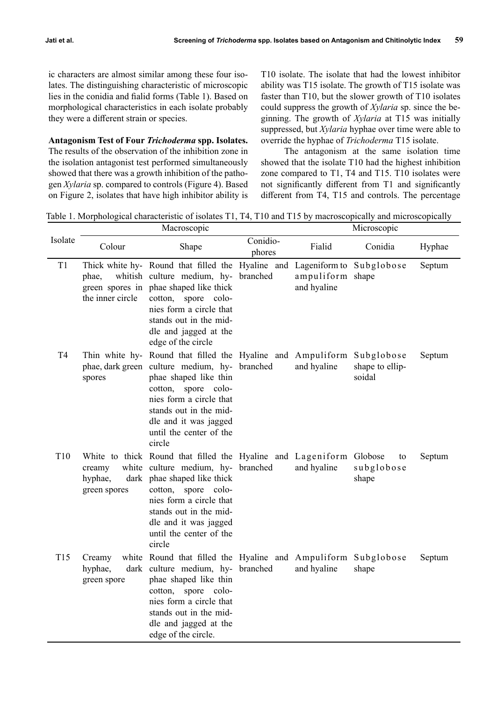ic characters are almost similar among these four isolates. The distinguishing characteristic of microscopic lies in the conidia and fialid forms (Table 1). Based on morphological characteristics in each isolate probably they were a different strain or species.

# **Antagonism Test of Four** *Trichoderma* **spp. Isolates.**

The results of the observation of the inhibition zone in the isolation antagonist test performed simultaneously showed that there was a growth inhibition of the pathogen *Xylaria* sp. compared to controls (Figure 4). Based on Figure 2, isolates that have high inhibitor ability is T10 isolate. The isolate that had the lowest inhibitor ability was T15 isolate. The growth of T15 isolate was faster than T10, but the slower growth of T10 isolates could suppress the growth of *Xylaria* sp. since the beginning. The growth of *Xylaria* at T15 was initially suppressed, but *Xylaria* hyphae over time were able to override the hyphae of *Trichoderma* T15 isolate.

The antagonism at the same isolation time showed that the isolate T10 had the highest inhibition zone compared to T1, T4 and T15. T10 isolates were not significantly different from T1 and significantly different from T4, T15 and controls. The percentage

Table 1. Morphological characteristic of isolates T1, T4, T10 and T15 by macroscopically and microscopically

|                 | Macroscopic                       |                                                                                                                                                                                                                                                                                            |                    | Microscopic                                                 |                           |        |
|-----------------|-----------------------------------|--------------------------------------------------------------------------------------------------------------------------------------------------------------------------------------------------------------------------------------------------------------------------------------------|--------------------|-------------------------------------------------------------|---------------------------|--------|
| Isolate         | Colour                            | Shape                                                                                                                                                                                                                                                                                      | Conidio-<br>phores | Fialid                                                      | Conidia                   | Hyphae |
| T1              | phae,<br>the inner circle         | Thick white hy- Round that filled the Hyaline and<br>whitish culture medium, hy- branched<br>green spores in phae shaped like thick<br>cotton, spore colo-<br>nies form a circle that<br>stands out in the mid-<br>dle and jagged at the<br>edge of the circle                             |                    | Lageniform to Subglobose<br>ampuliform shape<br>and hyaline |                           | Septum |
| T4              | spores                            | Thin white hy- Round that filled the Hyaline and Ampuliform Subglobose<br>phae, dark green culture medium, hy- branched<br>phae shaped like thin<br>cotton, spore colo-<br>nies form a circle that<br>stands out in the mid-<br>dle and it was jagged<br>until the center of the<br>circle |                    | and hyaline                                                 | shape to ellip-<br>soidal | Septum |
| T <sub>10</sub> | creamy<br>hyphae,<br>green spores | White to thick Round that filled the Hyaline and Lageniform Globose<br>white culture medium, hy- branched<br>dark phae shaped like thick<br>cotton, spore colo-<br>nies form a circle that<br>stands out in the mid-<br>dle and it was jagged<br>until the center of the<br>circle         |                    | and hyaline                                                 | to<br>subglobose<br>shape | Septum |
| T15             | Creamy<br>hyphae,<br>green spore  | white Round that filled the Hyaline and Ampuliform Subglobose<br>dark culture medium, hy- branched<br>phae shaped like thin<br>cotton, spore colo-<br>nies form a circle that<br>stands out in the mid-<br>dle and jagged at the<br>edge of the circle.                                    |                    | and hyaline                                                 | shape                     | Septum |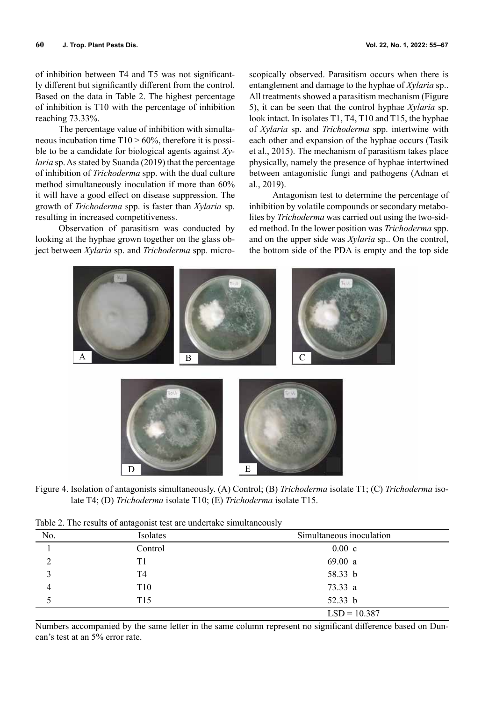of inhibition between T4 and T5 was not significantly different but significantly different from the control. Based on the data in Table 2. The highest percentage of inhibition is T10 with the percentage of inhibition reaching 73.33%.

The percentage value of inhibition with simultaneous incubation time  $T10 > 60\%$ , therefore it is possible to be a candidate for biological agents against *Xylaria* sp. As stated by Suanda (2019) that the percentage of inhibition of *Trichoderma* spp. with the dual culture method simultaneously inoculation if more than 60% it will have a good effect on disease suppression. The growth of *Trichoderma* spp. is faster than *Xylaria* sp. resulting in increased competitiveness.

Observation of parasitism was conducted by looking at the hyphae grown together on the glass object between *Xylaria* sp. and *Trichoderma* spp. micro-

scopically observed. Parasitism occurs when there is entanglement and damage to the hyphae of *Xylaria* sp.. All treatments showed a parasitism mechanism (Figure 5), it can be seen that the control hyphae *Xylaria* sp. look intact. In isolates T1, T4, T10 and T15, the hyphae of *Xylaria* sp. and *Trichoderma* spp. intertwine with each other and expansion of the hyphae occurs (Tasik et al., 2015). The mechanism of parasitism takes place physically, namely the presence of hyphae intertwined between antagonistic fungi and pathogens (Adnan et al., 2019).

Antagonism test to determine the percentage of inhibition by volatile compounds or secondary metabolites by *Trichoderma* was carried out using the two-sided method. In the lower position was *Trichoderma* spp. and on the upper side was *Xylaria* sp.. On the control, the bottom side of the PDA is empty and the top side



Figure 4. Isolation of antagonists simultaneously. (A) Control; (B) *Trichoderma* isolate T1; (C) *Trichoderma* isolate T4; (D) *Trichoderma* isolate T10; (E) *Trichoderma* isolate T15.

|  |  | Table 2. The results of antagonist test are undertake simultaneously |
|--|--|----------------------------------------------------------------------|
|  |  |                                                                      |

| Tuble 2. The results of untagonist test are undertake simulationship |                 |                          |  |  |
|----------------------------------------------------------------------|-----------------|--------------------------|--|--|
| No.                                                                  | Isolates        | Simultaneous inoculation |  |  |
|                                                                      | Control         | $0.00\,c$                |  |  |
|                                                                      | Τ1              | 69.00 a                  |  |  |
|                                                                      | T4              | 58.33 b                  |  |  |
|                                                                      | T <sub>10</sub> | 73.33 a                  |  |  |
|                                                                      | T <sub>15</sub> | 52.33 $b$                |  |  |
|                                                                      |                 | $LSD = 10.387$           |  |  |

Numbers accompanied by the same letter in the same column represent no significant difference based on Duncan's test at an 5% error rate.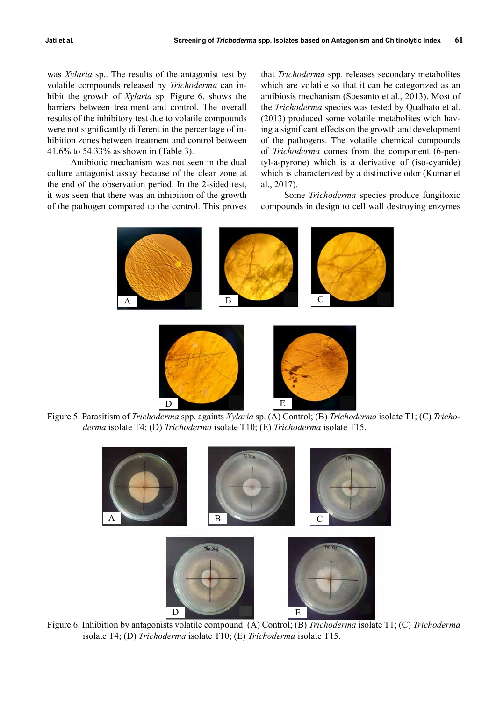was *Xylaria* sp.. The results of the antagonist test by volatile compounds released by *Trichoderma* can inhibit the growth of *Xylaria* sp. Figure 6. shows the barriers between treatment and control. The overall results of the inhibitory test due to volatile compounds were not significantly different in the percentage of inhibition zones between treatment and control between 41.6% to 54.33% as shown in (Table 3).

Antibiotic mechanism was not seen in the dual culture antagonist assay because of the clear zone at the end of the observation period. In the 2-sided test, it was seen that there was an inhibition of the growth of the pathogen compared to the control. This proves

that *Trichoderma* spp. releases secondary metabolites which are volatile so that it can be categorized as an antibiosis mechanism (Soesanto et al., 2013). Most of the *Trichoderma* species was tested by Qualhato et al. (2013) produced some volatile metabolites wich having a significant effects on the growth and development of the pathogens. The volatile chemical compounds of *Trichoderma* comes from the component (6-pentyl-a-pyrone) which is a derivative of (iso-cyanide) which is characterized by a distinctive odor (Kumar et al., 2017).

Some *Trichoderma* species produce fungitoxic compounds in design to cell wall destroying enzymes



Figure 5. Parasitism of *Trichoderma* spp. againts *Xylaria* sp. (A) Control; (B) *Trichoderma* isolate T1; (C) *Trichoderma* isolate T4; (D) *Trichoderma* isolate T10; (E) *Trichoderma* isolate T15.



Figure 6. Inhibition by antagonists volatile compound. (A) Control; (B) *Trichoderma* isolate T1; (C) *Trichoderma* isolate T4; (D) *Trichoderma* isolate T10; (E) *Trichoderma* isolate T15.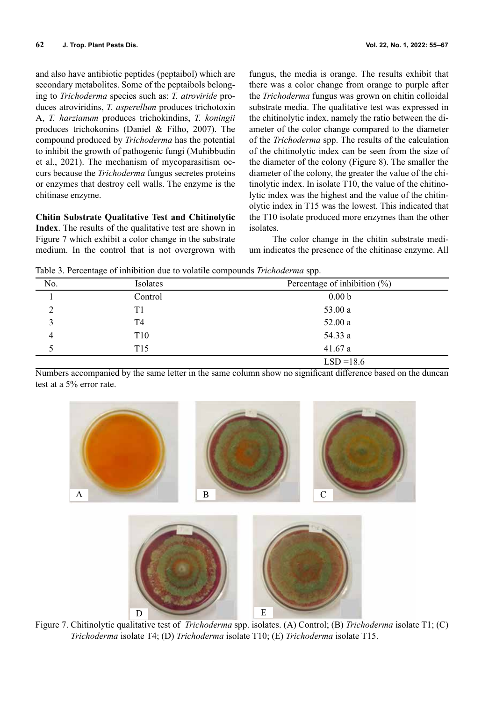and also have antibiotic peptides (peptaibol) which are secondary metabolites. Some of the peptaibols belonging to *Trichoderma* species such as: *T. atroviride* produces atroviridins, *T. asperellum* produces trichotoxin A, *T. harzianum* produces trichokindins, *T. koningii*  produces trichokonins (Daniel & Filho, 2007). The compound produced by *Trichoderma* has the potential to inhibit the growth of pathogenic fungi (Muhibbudin et al., 2021). The mechanism of mycoparasitism occurs because the *Trichoderma* fungus secretes proteins or enzymes that destroy cell walls. The enzyme is the chitinase enzyme.

**Chitin Substrate Qualitative Test and Chitinolytic Index**. The results of the qualitative test are shown in Figure 7 which exhibit a color change in the substrate medium. In the control that is not overgrown with

fungus, the media is orange. The results exhibit that there was a color change from orange to purple after the *Trichoderma* fungus was grown on chitin colloidal substrate media. The qualitative test was expressed in the chitinolytic index, namely the ratio between the diameter of the color change compared to the diameter of the *Trichoderma* spp. The results of the calculation of the chitinolytic index can be seen from the size of the diameter of the colony (Figure 8). The smaller the diameter of the colony, the greater the value of the chitinolytic index. In isolate T10, the value of the chitinolytic index was the highest and the value of the chitinolytic index in T15 was the lowest. This indicated that the T10 isolate produced more enzymes than the other isolates.

The color change in the chitin substrate medium indicates the presence of the chitinase enzyme. All

Table 3. Percentage of inhibition due to volatile compounds *Trichoderma* spp.

|                | ັ               | <b>A</b>                        |
|----------------|-----------------|---------------------------------|
| No.            | Isolates        | Percentage of inhibition $(\%)$ |
|                | Control         | 0.00 <sub>b</sub>               |
|                | T1              | 53.00 a                         |
| 3              | T4              | 52.00a                          |
| $\overline{4}$ | T <sub>10</sub> | 54.33 a                         |
|                | T15             | 41.67a                          |
|                |                 | $LSD = 18.6$                    |

Numbers accompanied by the same letter in the same column show no significant difference based on the duncan test at a 5% error rate.



Figure 7. Chitinolytic qualitative test of *Trichoderma* spp. isolates. (A) Control; (B) *Trichoderma* isolate T1; (C) *Trichoderma* isolate T4; (D) *Trichoderma* isolate T10; (E) *Trichoderma* isolate T15.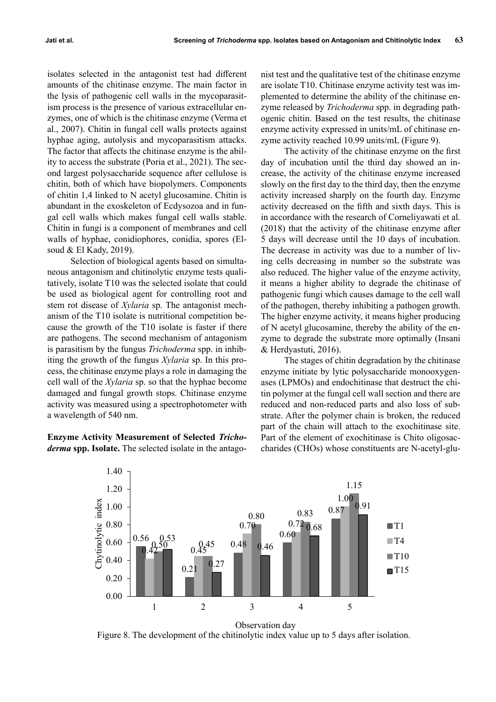isolates selected in the antagonist test had different amounts of the chitinase enzyme. The main factor in the lysis of pathogenic cell walls in the mycoparasitism process is the presence of various extracellular enzymes, one of which is the chitinase enzyme (Verma et al., 2007). Chitin in fungal cell walls protects against hyphae aging, autolysis and mycoparasitism attacks. The factor that affects the chitinase enzyme is the ability to access the substrate (Poria et al., 2021). The second largest polysaccharide sequence after cellulose is chitin, both of which have biopolymers. Components of chitin 1,4 linked to N acetyl glucosamine. Chitin is abundant in the exoskeleton of Ecdysozoa and in fungal cell walls which makes fungal cell walls stable. Chitin in fungi is a component of membranes and cell walls of hyphae, conidiophores, conidia, spores (Elsoud & El Kady, 2019).

Selection of biological agents based on simultaneous antagonism and chitinolytic enzyme tests qualitatively, isolate T10 was the selected isolate that could be used as biological agent for controlling root and stem rot disease of *Xylaria* sp. The antagonist mechanism of the T10 isolate is nutritional competition because the growth of the T10 isolate is faster if there are pathogens. The second mechanism of antagonism is parasitism by the fungus *Trichoderma* spp. in inhibiting the growth of the fungus *Xylaria* sp. In this process, the chitinase enzyme plays a role in damaging the cell wall of the *Xylaria* sp. so that the hyphae become damaged and fungal growth stops. Chitinase enzyme activity was measured using a spectrophotometer with a wavelength of 540 nm.

**Enzyme Activity Measurement of Selected** *Trichoderma* **spp. Isolate.** The selected isolate in the antago-

nist test and the qualitative test of the chitinase enzyme are isolate T10. Chitinase enzyme activity test was implemented to determine the ability of the chitinase enzyme released by *Trichoderma* spp. in degrading pathogenic chitin. Based on the test results, the chitinase enzyme activity expressed in units/mL of chitinase enzyme activity reached 10.99 units/mL (Figure 9).

The activity of the chitinase enzyme on the first day of incubation until the third day showed an increase, the activity of the chitinase enzyme increased slowly on the first day to the third day, then the enzyme activity increased sharply on the fourth day. Enzyme activity decreased on the fifth and sixth days. This is in accordance with the research of Corneliyawati et al. (2018) that the activity of the chitinase enzyme after 5 days will decrease until the 10 days of incubation. The decrease in activity was due to a number of living cells decreasing in number so the substrate was also reduced. The higher value of the enzyme activity, it means a higher ability to degrade the chitinase of pathogenic fungi which causes damage to the cell wall of the pathogen, thereby inhibiting a pathogen growth. The higher enzyme activity, it means higher producing of N acetyl glucosamine, thereby the ability of the enzyme to degrade the substrate more optimally (Insani & Herdyastuti, 2016).

The stages of chitin degradation by the chitinase enzyme initiate by lytic polysaccharide monooxygenases (LPMOs) and endochitinase that destruct the chitin polymer at the fungal cell wall section and there are reduced and non-reduced parts and also loss of substrate. After the polymer chain is broken, the reduced part of the chain will attach to the exochitinase site. Part of the element of exochitinase is Chito oligosaccharides (CHOs) whose constituents are N-acetyl-glu-



Figure 8. The development of the chitinolytic index value up to 5 days after isolation.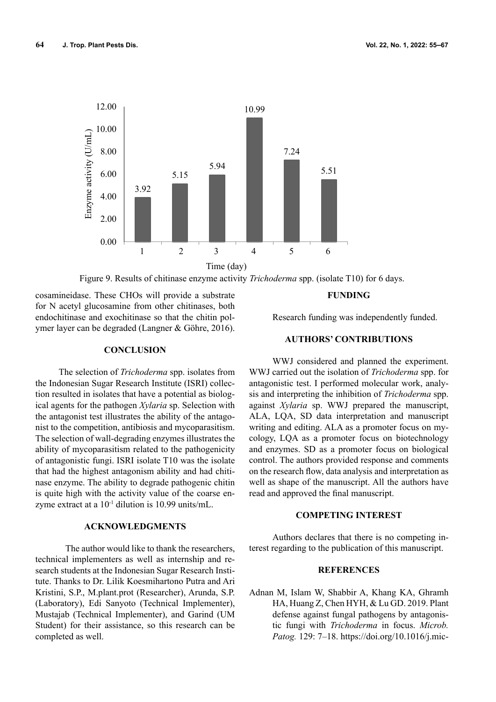

Figure 9. Results of chitinase enzyme activity *Trichoderma* spp. (isolate T10) for 6 days.

cosamineidase. These CHOs will provide a substrate for N acetyl glucosamine from other chitinases, both endochitinase and exochitinase so that the chitin polymer layer can be degraded (Langner & Göhre, 2016).

# **CONCLUSION**

The selection of *Trichoderma* spp. isolates from the Indonesian Sugar Research Institute (ISRI) collection resulted in isolates that have a potential as biological agents for the pathogen *Xylaria* sp. Selection with the antagonist test illustrates the ability of the antagonist to the competition, antibiosis and mycoparasitism. The selection of wall-degrading enzymes illustrates the ability of mycoparasitism related to the pathogenicity of antagonistic fungi. ISRI isolate T10 was the isolate that had the highest antagonism ability and had chitinase enzyme. The ability to degrade pathogenic chitin is quite high with the activity value of the coarse enzyme extract at a 10-1 dilution is 10.99 units/mL.

## **ACKNOWLEDGMENTS**

The author would like to thank the researchers, technical implementers as well as internship and research students at the Indonesian Sugar Research Institute. Thanks to Dr. Lilik Koesmihartono Putra and Ari Kristini, S.P., M.plant.prot (Researcher), Arunda, S.P. (Laboratory), Edi Sanyoto (Technical Implementer), Mustajab (Technical Implementer), and Garind (UM Student) for their assistance, so this research can be completed as well.

### **FUNDING**

Research funding was independently funded.

# **AUTHORS' CONTRIBUTIONS**

WWJ considered and planned the experiment. WWJ carried out the isolation of *Trichoderma* spp. for antagonistic test. I performed molecular work, analysis and interpreting the inhibition of *Trichoderma* spp. against *Xylaria* sp. WWJ prepared the manuscript, ALA, LQA, SD data interpretation and manuscript writing and editing. ALA as a promoter focus on mycology, LQA as a promoter focus on biotechnology and enzymes. SD as a promoter focus on biological control. The authors provided response and comments on the research flow, data analysis and interpretation as well as shape of the manuscript. All the authors have read and approved the final manuscript.

# **COMPETING INTEREST**

Authors declares that there is no competing interest regarding to the publication of this manuscript.

## **REFERENCES**

Adnan M, Islam W, Shabbir A, Khang KA, Ghramh HA, Huang Z, Chen HYH, & Lu GD. 2019. Plant defense against fungal pathogens by antagonistic fungi with *Trichoderma* in focus. *Microb. Patog.* 129: 7–18. https://doi.org/10.1016/j.mic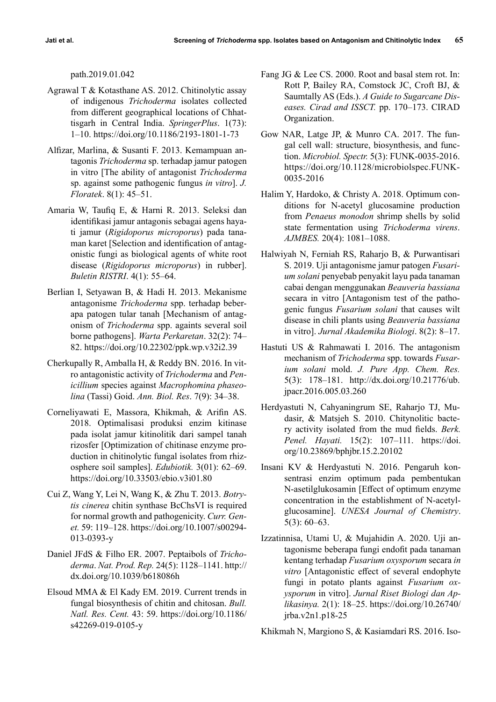path.2019.01.042

- Agrawal T & Kotasthane AS. 2012. Chitinolytic assay of indigenous *Trichoderma* isolates collected from different geographical locations of Chhattisgarh in Central India. *SpringerPlus*. 1(73): 1–10. https://doi.org/10.1186/2193-1801-1-73
- Alfizar, Marlina, & Susanti F. 2013. Kemampuan antagonis *Trichoderma* sp. terhadap jamur patogen in vitro [The ability of antagonist *Trichoderma* sp. against some pathogenic fungus *in vitro*]. *J. Floratek*. 8(1): 45–51.
- Amaria W, Taufiq E, & Harni R. 2013. Seleksi dan identifikasi jamur antagonis sebagai agens hayati jamur (*Rigidoporus microporus*) pada tanaman karet [Selection and identification of antagonistic fungi as biological agents of white root disease (*Rigidoporus microporus*) in rubber]. *Buletin RISTRI*. 4(1): 55–64.
- Berlian I, Setyawan B, & Hadi H. 2013. Mekanisme antagonisme *Trichoderma* spp. terhadap beberapa patogen tular tanah [Mechanism of antagonism of *Trichoderma* spp. againts several soil borne pathogens]. *Warta Perkaretan*. 32(2): 74– 82. https://doi.org/10.22302/ppk.wp.v32i2.39
- Cherkupally R, Amballa H, & Reddy BN. 2016. In vitro antagonistic activity of *Trichoderma* and *Penicillium* species against *Macrophomina phaseolina* (Tassi) Goid. *Ann. Biol. Res*. 7(9): 34–38.
- Corneliyawati E, Massora, Khikmah, & Arifin AS. 2018. Optimalisasi produksi enzim kitinase pada isolat jamur kitinolitik dari sampel tanah rizosfer [Optimization of chitinase enzyme production in chitinolytic fungal isolates from rhizosphere soil samples]. *Edubiotik.* 3(01): 62–69. https://doi.org/10.33503/ebio.v3i01.80
- Cui Z, Wang Y, Lei N, Wang K, & Zhu T. 2013. *Botrytis cinerea* chitin synthase BcChsVI is required for normal growth and pathogenicity. *Curr. Genet.* 59: 119–128. https://doi.org/10.1007/s00294- 013-0393-y
- Daniel JFdS & Filho ER. 2007. Peptaibols of *Trichoderma*. *Nat. Prod. Rep.* 24(5): 1128–1141. http:// dx.doi.org/10.1039/b618086h
- Elsoud MMA & El Kady EM. 2019. Current trends in fungal biosynthesis of chitin and chitosan. *Bull. Natl. Res. Cent.* 43: 59. https://doi.org/10.1186/ s42269-019-0105-y
- Fang JG & Lee CS. 2000. Root and basal stem rot. In: Rott P, Bailey RA, Comstock JC, Croft BJ, & Saumtally AS (Eds.). *A Guide to Sugarcane Diseases. Cirad and ISSCT.* pp. 170–173. CIRAD Organization.
- Gow NAR, Latge JP, & Munro CA. 2017. The fungal cell wall: structure, biosynthesis, and function. *Microbiol. Spectr.* 5(3): FUNK-0035-2016. https://doi.org/10.1128/microbiolspec.FUNK-0035-2016
- Halim Y, Hardoko, & Christy A. 2018. Optimum conditions for N-acetyl glucosamine production from *Penaeus monodon* shrimp shells by solid state fermentation using *Trichoderma virens*. *AJMBES.* 20(4): 1081–1088.
- Halwiyah N, Ferniah RS, Raharjo B, & Purwantisari S. 2019. Uji antagonisme jamur patogen *Fusarium solani* penyebab penyakit layu pada tanaman cabai dengan menggunakan *Beauveria bassiana* secara in vitro [Antagonism test of the pathogenic fungus *Fusarium solani* that causes wilt disease in chili plants using *Beauveria bassiana* in vitro]. *Jurnal Akademika Biologi*. 8(2): 8–17.
- Hastuti US & Rahmawati I. 2016. The antagonism mechanism of *Trichoderma* spp. towards *Fusarium solani* mold. *J. Pure App. Chem. Res.* 5(3): 178–181. http://dx.doi.org/10.21776/ub. jpacr.2016.005.03.260
- Herdyastuti N, Cahyaningrum SE, Raharjo TJ, Mudasir, & Matsjeh S. 2010. Chitynolitic bactery activity isolated from the mud fields. *Berk. Penel. Hayati.* 15(2): 107–111. https://doi. org/10.23869/bphjbr.15.2.20102
- Insani KV & Herdyastuti N. 2016. Pengaruh konsentrasi enzim optimum pada pembentukan N-asetilglukosamin [Effect of optimum enzyme concentration in the establishment of N-acetylglucosamine]. *UNESA Journal of Chemistry*. 5(3): 60–63.
- Izzatinnisa, Utami U, & Mujahidin A. 2020. Uji antagonisme beberapa fungi endofit pada tanaman kentang terhadap *Fusarium oxysporum* secara *in vitro* [Antagonistic effect of several endophyte fungi in potato plants against *Fusarium oxysporum* in vitro]. *Jurnal Riset Biologi dan Aplikasinya.* 2(1): 18–25. https://doi.org/10.26740/ jrba.v2n1.p18-25

Khikmah N, Margiono S, & Kasiamdari RS. 2016. Iso-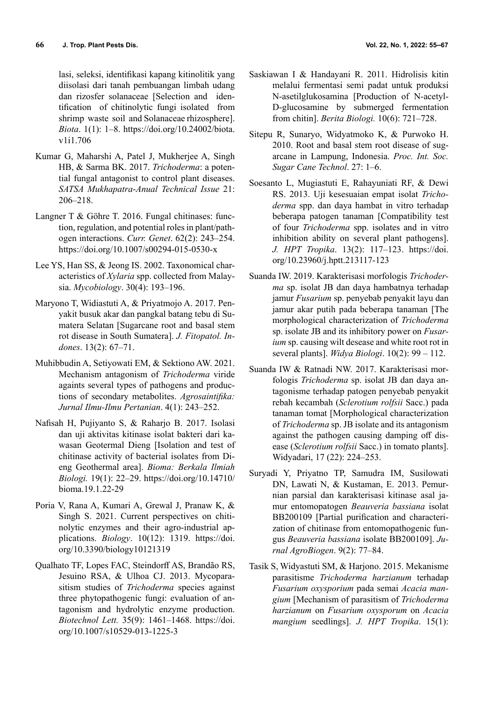lasi, seleksi, identifikasi kapang kitinolitik yang diisolasi dari tanah pembuangan limbah udang dan rizosfer solanaceae [Selection and identification of chitinolytic fungi isolated from shrimp waste soil and Solanaceae rhizosphere]. *Biota*. 1(1): 1–8. https://doi.org/10.24002/biota. v1i1.706

- Kumar G, Maharshi A, Patel J, Mukherjee A, Singh HB, & Sarma BK. 2017. *Trichoderma*: a potential fungal antagonist to control plant diseases. *SATSA Mukhapatra*-*Anual Technical Issue* 21: 206–218.
- Langner T & Göhre T. 2016. Fungal chitinases: function, regulation, and potential roles in plant/pathogen interactions. *Curr. Genet*. 62(2): 243–254. https://doi.org/10.1007/s00294-015-0530-x
- Lee YS, Han SS, & Jeong IS. 2002. Taxonomical characteristics of *Xylaria* spp. collected from Malaysia. *Mycobiology*. 30(4): 193–196.
- Maryono T, Widiastuti A, & Priyatmojo A. 2017. Penyakit busuk akar dan pangkal batang tebu di Sumatera Selatan [Sugarcane root and basal stem rot disease in South Sumatera]. *J. Fitopatol. Indones*. 13(2): 67–71.
- Muhibbudin A, Setiyowati EM, & Sektiono AW. 2021. Mechanism antagonism of *Trichoderma* viride againts several types of pathogens and productions of secondary metabolites. *Agrosaintifika: Jurnal Ilmu-Ilmu Pertanian*. 4(1): 243–252.
- Nafisah H, Pujiyanto S, & Raharjo B. 2017. Isolasi dan uji aktivitas kitinase isolat bakteri dari kawasan Geotermal Dieng [Isolation and test of chitinase activity of bacterial isolates from Dieng Geothermal area]. *Bioma: Berkala Ilmiah Biologi.* 19(1): 22–29. https://doi.org/10.14710/ bioma.19.1.22-29
- Poria V, Rana A, Kumari A, Grewal J, Pranaw K, & Singh S. 2021. Current perspectives on chitinolytic enzymes and their agro-industrial applications. *Biology*. 10(12): 1319. https://doi. org/10.3390/biology10121319
- Qualhato TF, Lopes FAC, Steindorff AS, Brandão RS, Jesuino RSA, & Ulhoa CJ. 2013. Mycoparasitism studies of *Trichoderma* species against three phytopathogenic fungi: evaluation of antagonism and hydrolytic enzyme production. *Biotechnol Lett.* 35(9): 1461–1468. https://doi. org/10.1007/s10529-013-1225-3
- Saskiawan I & Handayani R. 2011. Hidrolisis kitin melalui fermentasi semi padat untuk produksi N-asetilglukosamina [Production of N-acetyl-D-glucosamine by submerged fermentation from chitin]. *Berita Biologi.* 10(6): 721–728.
- Sitepu R, Sunaryo, Widyatmoko K, & Purwoko H. 2010. Root and basal stem root disease of sugarcane in Lampung, Indonesia. *Proc. Int. Soc. Sugar Cane Technol*. 27: 1–6.
- Soesanto L, Mugiastuti E, Rahayuniati RF, & Dewi RS. 2013. Uji kesesuaian empat isolat *Trichoderma* spp. dan daya hambat in vitro terhadap beberapa patogen tanaman [Compatibility test of four *Trichoderma* spp. isolates and in vitro inhibition ability on several plant pathogens]. *J. HPT Tropika*. 13(2): 117–123. https://doi. org/10.23960/j.hptt.213117-123
- Suanda IW. 2019. Karakterisasi morfologis *Trichoderma* sp. isolat JB dan daya hambatnya terhadap jamur *Fusarium* sp. penyebab penyakit layu dan jamur akar putih pada beberapa tanaman [The morphological characterization of *Trichoderma* sp. isolate JB and its inhibitory power on *Fusarium* sp. causing wilt desease and white root rot in several plants]. *Widya Biologi*. 10(2): 99 – 112.
- Suanda IW & Ratnadi NW. 2017. Karakterisasi morfologis *Trichoderma* sp. isolat JB dan daya antagonisme terhadap patogen penyebab penyakit rebah kecambah (*Sclerotium rolfsii* Sacc.) pada tanaman tomat [Morphological characterization of *Trichoderma* sp. JB isolate and its antagonism against the pathogen causing damping off disease (*Sclerotium rolfsii* Sacc.) in tomato plants]. Widyadari, 17 (22): 224–253.
- Suryadi Y, Priyatno TP, Samudra IM, Susilowati DN, Lawati N, & Kustaman, E. 2013. Pemurnian parsial dan karakterisasi kitinase asal jamur entomopatogen *Beauveria bassiana* isolat BB200109 [Partial purification and characterization of chitinase from entomopathogenic fungus *Beauveria bassiana* isolate BB200109]. *Jurnal AgroBiogen*. 9(2): 77–84.
- Tasik S, Widyastuti SM, & Harjono. 2015. Mekanisme parasitisme *Trichoderma harzianum* terhadap *Fusarium oxysporium* pada semai *Acacia mangium* [Mechanism of parasitism of *Trichoderma harzianum* on *Fusarium oxysporum* on *Acacia mangium* seedlings]. *J. HPT Tropika*. 15(1):